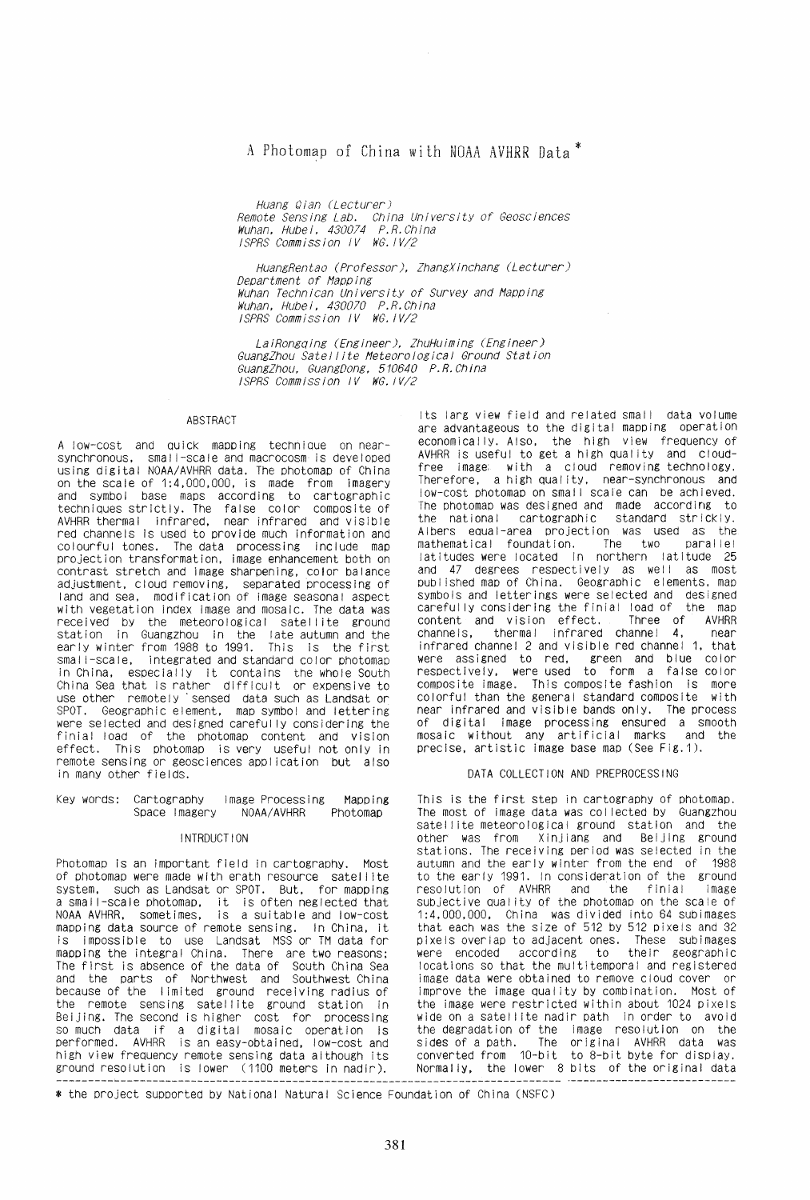# A Photomap of China with NOAA AVHRR Data<sup>\*</sup>

Huang Qian (Lecturer) nential Sensing Lab. China University of Geosciences<br>Wuhan, Hubei, 430074 P.R.China ISPRS Commission IV WG. IV/2

HuangRentao (Professor), ZhangXinchang (Lecturer) Department of Mapping Wuhan Technican University of Survey and Mapping Wuhan, Hubei, 430070 P.R.China<br>ISPRS Commission IV WG.IV/2

LaiRongqing (Engineer), ZhuHuiming (Engineer) GuangZhou Satellite Meteorological Ground Station GuangZhou, GuangDong, 510640 P.R.China ISPRS Commission IV WG. IV/2

#### ABSTRACT

A low-cost and quick mapping technique on nearsynchronous, small-scale and macrocosm is developed<br>using digital NOAA/AVHRR data. The photomap of China on the scale of 1:4,000,000, is made from imagery and symbol base maps according to cartographic<br>techniques strictly. The false color composite of<br>AVHRR thermal infrared, near infrared and visible red channels is used to provide much information and colourful tones. The data processing include map<br>projection transformation, image enhancement both on contrast stretch and image sharpening, color balance adjustment, cloud removing, separated processing of land and sea, modification of image seasonal aspect with vegetation index image and mosaic. The data was received by the meteorological satellite ground station in Guangzhou in the late autumn and the<br>early winter from 1988 to 1991. This is the first small-scale, integrated and standard color photomap in China, especially it contains the whole South<br>China Sea that is rather difficult or expensive to use other remotely sensed data such as Landsat or SPOT. Geographic element, map symbol and lettering were selected and designed carefully considering the finial load of the photomap content and vision<br>effect. This photomap is very useful not only in remote sensing or geosciences application but also in many other fields.

#### Key words: Cartography Image Processing Mapping NOAA/AVHRR Photomap Space Imagery

#### **INTRDUCTION**

Photomap is an important field in cartography. Most of photomap were made with erath resource satellite system, such as Landsat or SPOT. But, for mapping a small-scale photomap, it is often neglected that<br>NOAA AVHRR, sometimes, is a suitable and low-cost mapping data source of remote sensing. In China, it is impossible to use Landsat MSS or TM data for mapping the integral China. There are two reasons;<br>The first is absence of the data of South China Sea and the parts of Northwest and Southwest China because of the limited ground receiving radius of<br>the remote sensing satellite ground station in Beijing. The second is higher cost for processing<br>so much data if a digital mosaic operation is<br>performed. AVHRR is an easy-obtained, low-cost and high view frequency remote sensing data although its ground resolution is lower (1100 meters in nadir).

Its larg view field and related small data volume are advantageous to the digital mapping operation economically. Also, the high view frequency of AVHRR is useful to get a high quality and cloudfree image with a cloud removing technology. Therefore, a high quality, near-synchronous and low-cost photomap on small scale can be achieved. The photomap was designed and made according to the national cartographic standard strickly. Albers equal-area projection was used as the mathematical foundation. The two parallel<br>latitudes were located in northern latitude 25 and 47 degrees respectively as well as most<br>published map of China. Geographic elements, map symbols and letterings were selected and designed carefully considering the finial load of the map content and vision effect. Three of<br>channels, thermal infrared channel 4, AVHRR near infrared channel 2 and visible red channel 1, that were assigned to red, green and blue color respectively, were used to form a false color composite image. This composite fashion is more colorful than the general standard composite with near infrared and visible bands only. The process of digital image processing ensured a smooth mosaic without any artificial marks and the precise, artistic image base map (See Fig.1).

## DATA COLLECTION AND PREPROCESSING

This is the first step in cartography of photomap. The most of image data was collected by Guangzhou satellite meteorological ground station and the other was from Xinjiang and Beijing ground stations. The receiving period was selected in the autumn and the early winter from the end of 1988 to the early 1991. In consideration of the ground resolution of AVHRR the finial image and subjective quality of the photomap on the scale of 1:4,000,000, China was divided into 64 subimages that each was the size of 512 by 512 pixels and 32 pixels overlap to adjacent ones. These subimages their geographic were encoded according to. locations so that the multitemporal and registered image data were obtained to remove cloud cover or improve the image quality by combination. Most of the image were restricted within about 1024 pixels wide on a satellite nadir path in order to avoid the degradation of the image resolution on the sides of a path. The original AVHRR data was converted from  $10-bit$  to  $8-bit$  byte for display. Normally, the lower 8 bits of the original data

\* the project supported by National Natural Science Foundation of China (NSFC)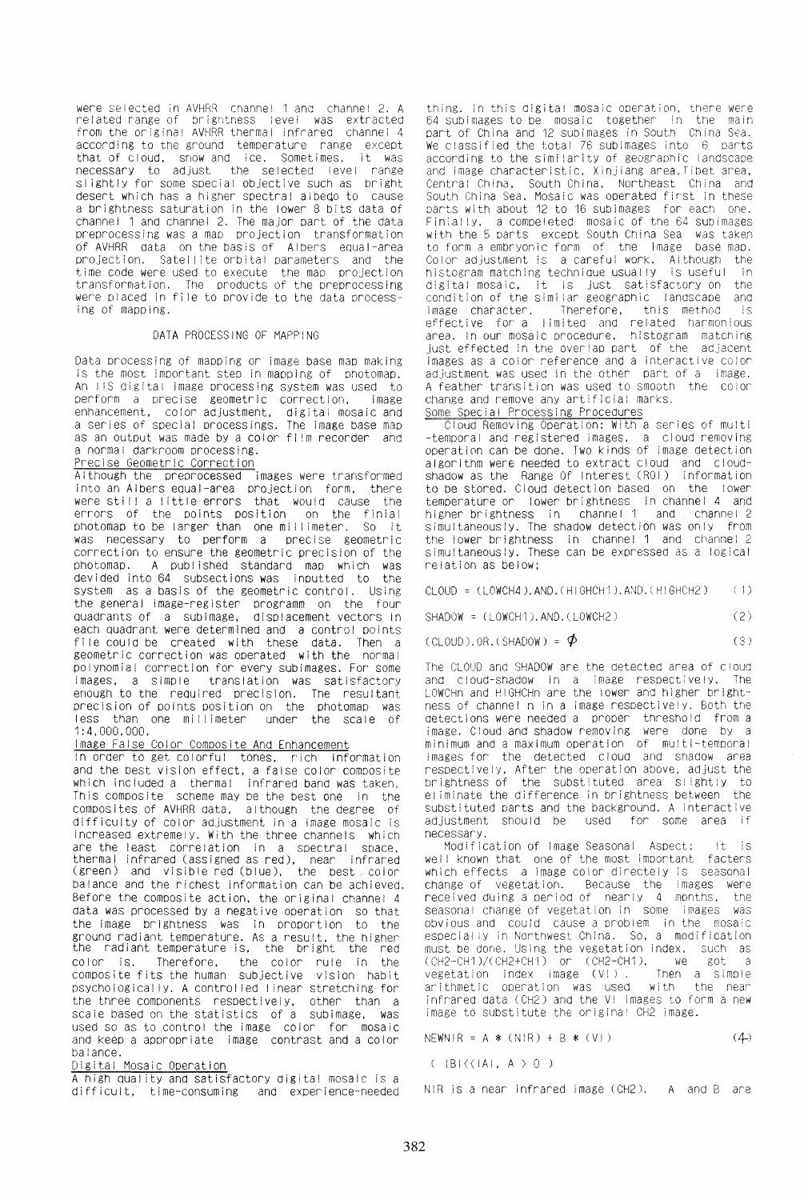were selected in AVHRR channel 1 and channel 2. A related range of brightness level was extracted related range of brigntness level from the original AVHRR thermal Infrared channel 4 according to the ground temperature range except that of cloud. snow and ice. Sometimes, it was necessary to adjust the selected level range <sup>81</sup>ightly for some special objective such as bright desert which has a higher spectral albeqo to cause a brightness saturation in the lower 8 bits data of channel 1 and channel 2. The major part of the data preprocessing was a map projection transformation<br>of AVHRR data on the basis of Albers equal-area projection. Satellite orbital parameters and the<br>time code were used to execute the map projection transformation. The products of the preprocessing were placed in file to provide to the data process-<br>ing of mapping.

## DATA PROCESSING OF MAPPING

Data processing of mapping or Image base map making is the most important step in mapping of photomap. An IIS digital image processing system was used to perform a precise geometric correction, image enhancement, color adjustment. digital mosaic and a series of special processings. The Image base map as an output was made by a color film recorder and a normal darkroom processing,

Precise Geometric Correction Although the preprocessed Images were transformed into an Albers equal-area projection form, there were stl I I a I ittle errors that would cause the errors of the points position on the finial photomap to be larger than one millimeter. So it was necessary to perform a precise geometric correction to ensure the geometric precision of the photomap. A published standard map which was devided into 64 subsections was inputted to the system as a basis of the geometric control. Using the general Image-register programm on the four quadrants of a subimage, displacement vectors in each quadrant were determined and a control points file could be created with these data. Then a geometric correction was operated with the normal polynomial correction for every sublmages. For some translation was satisfactory enough to the required precision. The resultant precision of points position on the photomap was less than one millimeter 1:4.000,000.

#### Image False Color Composite And Enhancement

In order to get colorful tones. rich Information and the best vision effect, a false color composite which included a thermal infrared band was taken. This composite scheme may be the best one in the composites of AVHRR data, although the degree of difficulty of color adjustment in a image mosaic Is Increased extremely. With the three channels which<br>are the least correlation in a spectral space. are the least correlation in a spectral space.<br>thermal infrared (assigned as red), near infrared thermal infrared (assigned as red), (green) and visible red (blue), the best color balance and the richest information can be achieved. Before the composite action, the original channel 4 data was processed by a negative operation so that the Image brightness was in proportion to the ground radiant temperature. As a result, the higher the radiant temperature is, the bright the red color is. Therefore, the color rule in the the color rule in the composite fits the human subjective vision habit psychological iy. A control led I inear stretching for the three components respectively. other than a scale based on the statistics of a subimage, was used so as to control the image color for mosaic and keep a appropriate image contrast and a color balance.

## Digital Mosaic Operation

A high qual ity and satisfactory digital mosaic Is a difficult, time-consuming and experience-needed

thing. In this digital mosaic operation, there were<br>64 subimages to be mosaic, together, in the main 64 subimages to be mosaic together part of China and 12 subimages in South ChIna Sea. We classified the total 76 subimages into 6 parts according to the simi larlty of geographic landscape and image characteristic. Xinjiang area. Tibet area, Central China, South China. Northeast China and South China Sea. Mosaic was operated first in these parts with about 12 to 16 subimages for each one.<br>Finially, a compeleted mosaic of the 64 subimages with the 5 parts except South China Sea was taken to form a embryonic form of the Image base mao. Color adjustment is a careful work. Although the color adjustment is a careful work. Although the color of the color in the state of  $\sim$  100 m matching technique usually is useful in histogram matching technique usually is useful in<br>digital mosaic, it is just satisfactory on the<br>condition of the similar geographic landscape and condition of the similar geographic landscape Image character. Therefore. this method is effective for a I imitea and related harmonious area. In our mosaic procedure, histogram matching<br>just effected in the overlap part of the adjacent images as a color reference and a interactive color adjustment was used in the other part of a jmage. A feather transition was used to smooth the cOlor change and remove any artificial marks. Some Special Processing Procedures

Cloud Removing Operation: With a series of multi -temporal and registered images. a cloud removing operation can be done. Two kinds of image detection algorithm were needed to extract cloud and cloudshadow as the Range Of Interest (ROI) information to be stored. Cloud detection based on the lower temperature or lower brightness In channel 4 and higher brightness in channel 1 and channel 2 simultaneous/y. The shadow detection was only from the lower brightness In Channel 1 and channel 2 simultaneously. These can be expressed as a logical relation as below;

CLOUD: (LOWCH4). AND. (HIGHCH1). AND. (HIGHCH2) (1)

 $SHADOWN = (LOWCH1).AND.(LOWCH2)$  (2)

 $(CLOUD).OR. (SHADOW) = \phi$  (3)

The CLOUD and SHADOW are the detected area of cloud<br>and cloud-shadow in a lmage respectively. The and cloud-shadow in a image respectively. LOWCHn and HIGHCHn are the lower and higher brightness of channel n in a image respectively. Both the detections were needed a proper threshold from a image. Cloud and shadow removing were done by a minimum and a maximum operation of multi-temporal images for the detected cloud and Shadow area respectively. After the operation above, adjust the brightness of the substituted area slightly to eliminate the difference in brightness between the substituted parts and the background. A interactive adjustment should be used for some area if used for some area if

necessary. Modification of Image Seasonal Aspect: !t is well known that one of the most important facters which effects a Image color directeiy Is seasonal change of vegetation. Because the images were<br>received duing a period of nearly 4 months, the received duing a period of nearly  $4$  months, seasonal change of vegetation in some images was obvious and couid cause a problem in the mosaic especial iy in Northwest China. So. a modification must be done. Using the vegetation index, such as<br> $(CH2-CH1)/(CH2+CH1)$  or  $(CH2-CH1)$ , we got a (CH2-CH1)/(CH2+CH1) or (CH2-CH1), we got a<br>vegetation index image (VI), Then a simple vegetation index image (VI). Then a simple<br>arithmetic operation was used with the near arithmetic operation was used infrared data (CH2) and the VI images to form a new image to substitute the original CH2 image.

NEWN IR = A  $*$  (NIR) + B  $*$  (VI)  $(4)$ 

 $( |B|\langle\langle |A|, A \rangle | 0 | )$ 

NIR is a near infrared image  $(CH2)$ . A and B are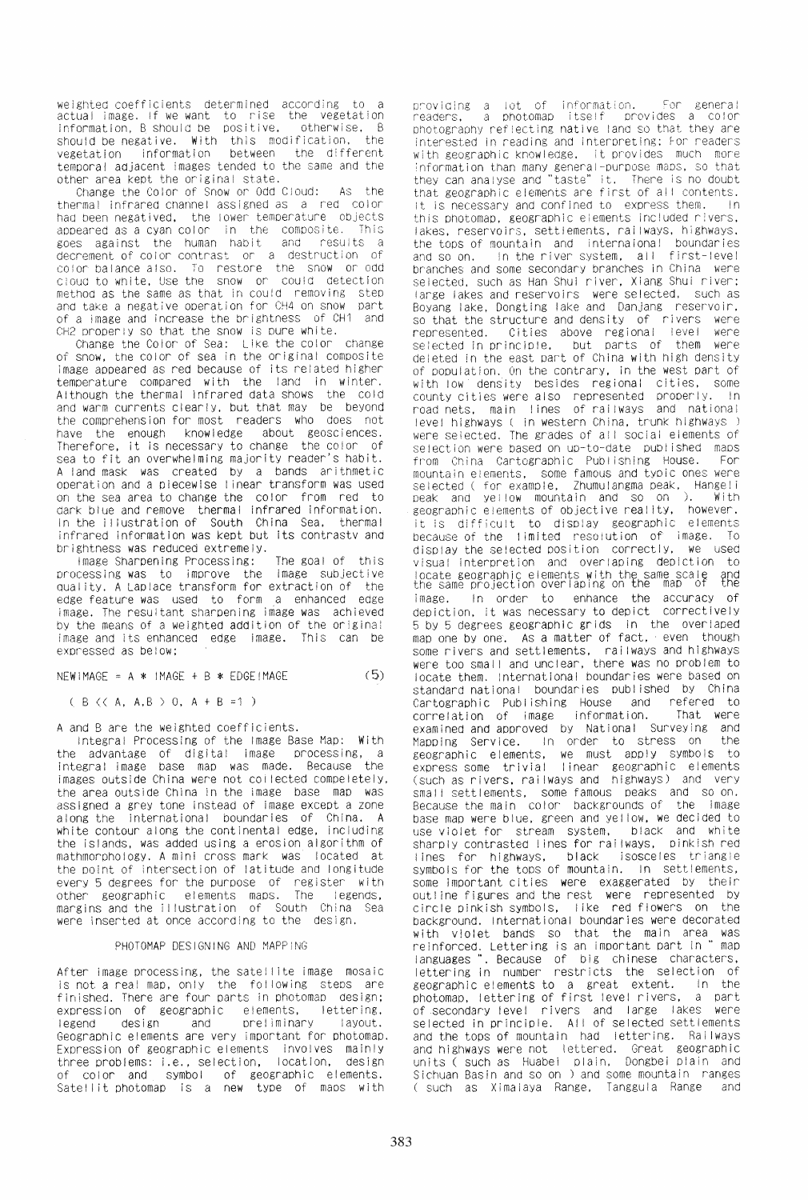weighted coefficients determined according to actual image. If we want to rise the vegetation Information. 8 should be positive. otherwise. B should be negative. With this modification. the between the different temporal adjacent images tended to the same and the other area kept the original state.

Change the Color of Snow or Odd Cloud: As the thermal infrared channel assigned as a red color had been negatived, the lower temperature objects<br>anneared as a cyan color in the composite. This appeared as a cyan color in the composite. goes against the human habit and results a decrement of color contrast or a destruction of cOlor balance also. To restore tne snow or odd ClOUd to wnite. Use the snow or COUld detection method as the same as that in could removing step<br>and take a negative operation for CH4 on snow part of a image and increase the brightness of CH1 and CH2 oroperly so that the snow is pure white.

Change the Color of Sea: Like the color change of snow, the color of sea in the original composite Image appeared as red because of Its related higher temperature compared with the land in Winter. Although the thermal Infrared data shows the cold and warm currents clearly. but that may be beyond the comprehension for most readers who does not have the enough knowledge about geosciences. Therefore, it is necessary to change the color of sea to fit an overwhelming majority reader's habit. A land mask was created by a bands arithmetic operation and a piecewise linear transform was used on the sea area to change the color from red to dark blue and remove thermal Infrared information. In the II lustration of South China Sea. thermal infrared Information was kept but its contrastv and brightness was reduced extremely.

Image Sharpening Processing: The goal of this processing was to Improve the Image subjective quality. A Laplace transform for extraction of the edge feature was used to form a enhanced edge image. The resultant sharpening image was achieved by the means of a weighted addition of the original image and its enhanced edge image. This can be expressed as below;

 $NEW$  IMAGE = A \* IMAGE + B \* EDGE IMAGE (5)

 $(B \, \langle \, \langle A, A, B \rangle \,) \, 0, \, A + B = 1)$ 

A and B are the weighted coefficients.

Integra! Processing of the Image Base Map: With the advantage of digital image processing, a Integral Image base map was made. Because the images outside China were not collected compeletely, the area outside China in the image base map was assigned a grey tone instead of image except a zone along the international boundaries of China. A white contour along the continental edge, including the islands. was added using a erosion algorithm of mathmorphology. A mini cross mark was located at the point of intersection of latitude and longitude every 5 degrees for the purpose of register with other geographic elements maps. The legendS. margins and the illustration of South China Sea were inserted at once according to the design.

#### PHOTOMAP DESIGNING AND MAPPING

After image processing, the satellite image mosaic is not a real map, only the following steps are finished. There are four parts in photomap design; expression of geographic elements, lettering. legend design and preliminary layout. Geographic elements are very important for photomap. Expression of geographic elements involves mainly three problems: i.e., selection, location, design of color and symbol of geographic elements. Satellit photomap is a new type of maps with

providing a lot of information. For general<br>readers, a photomap itself provides a color photography reflecting native land so that they are interested in reading and interpreting; For readers with geographic knowledge. It provides much more information than many general-purpose maDS. so that they can analyse and "taste" it. There is no doubt that geographic elements are first of all contents.<br>It is pecessary and confined to express them. In It is necessary and confined to express them. this photomap, geographic elements included rivers. lakes, reservoirs. settlements, rai Iways, highways. the tops of mountain and internaional boundaries<br>and so on. In the river system, all first-level In the river system, all branches and some secondary branches in China were selected, such as Han Shui river, Xiang Shui river; large lakes and reservoirs were selected. such as Boyang lake, Dongting lake and Danjang reservoir. so that the structure and density of rivers were<br>represented. Cities above regional level were represented. Cities above regional level were<br>selected in principle, but parts of them were selected in principle, but parts of them were deleted in the east part of China with high density of population. On the contrary, in the west part of with low density besides regional cities, some county cities were also represented properly. In road nets, main ! ines of railways and national I evel highways ( in western China, trunk highways ) were selected. The grades of all social elements of selection were based on up-to-date published maps<br>from China, Cartographic, Publishing, House, For from China Cartographic Publishing House. mountain elements, some famous and typic ones were selected ( for example, Zhumulangma peak, Hangeli peak ana yei low mountain and so on ). With geographic elements of objective real itv. however. it is difficult to display geographic elements because of the limited resoiution of image. To display the selected position correctly. we used visual interpretion and overlaping depiction to locate geographic elements with the same scale and<br>the same projection overlaping on the map of the Image. In order to enhance the accuracy of depiction. it was necessary to depict correctively 5 by 5 degrees geographic grids in the overiaped map one by one. As a matter of fact. even though some rivers and settlements, rai Iways and highways were too small and unclear, there was no problem to locate them. International boundaries were based on standard national boundaries published by China Cartographic Publishing House and refered to<br>correlation of image information. That were correlation of image information. examined and approved by National Surveying and<br>Manning Service – In order to stress on the Mapping Service. In order to stress on geographic elements, we must apply symbols to express some trivial I inear geographic elements (such as rivers. rai Iways and highways) and very small settlements, some famous peaks and so on. Because the main color backgrounds of the image base map were blue. green and yel low. we deCided to use violet for stream system, black and white sharply contrasted lines for railways, pinkish red<br>lines for highways, black isosceles triangle lines for highways, symbols for the tops of mountain. In settlements, some Important cities were exaggerated by their outline figures and the rest were represented by circle pinkish symbols. I Ike red flowers on the background. International boundaries were decorated Dackground, incorrection, somewhere main area was<br>with violet bands so that the main area was<br>reinforced lettering is an important part in "map reinforced. Lettering is an important part in languages **.. ,** Because of big chinese characters, lettering in number restricts the selection of geographic elements to a great extent. In the<br>photomap, lettering of first level rivers, a part photomap, lettering of first level rivers, a part<br>of secondary level rivers and large lakes were selected in principle. All of selected settlements and the tops of mountain had lettering. Railways and highways were not lettered. Great geographic units ( such as Huabel plain, Dongbel plain and Sichuan Basin and so on ) and some mountain ranges ( such as Ximalaya Range, Tangguia Range and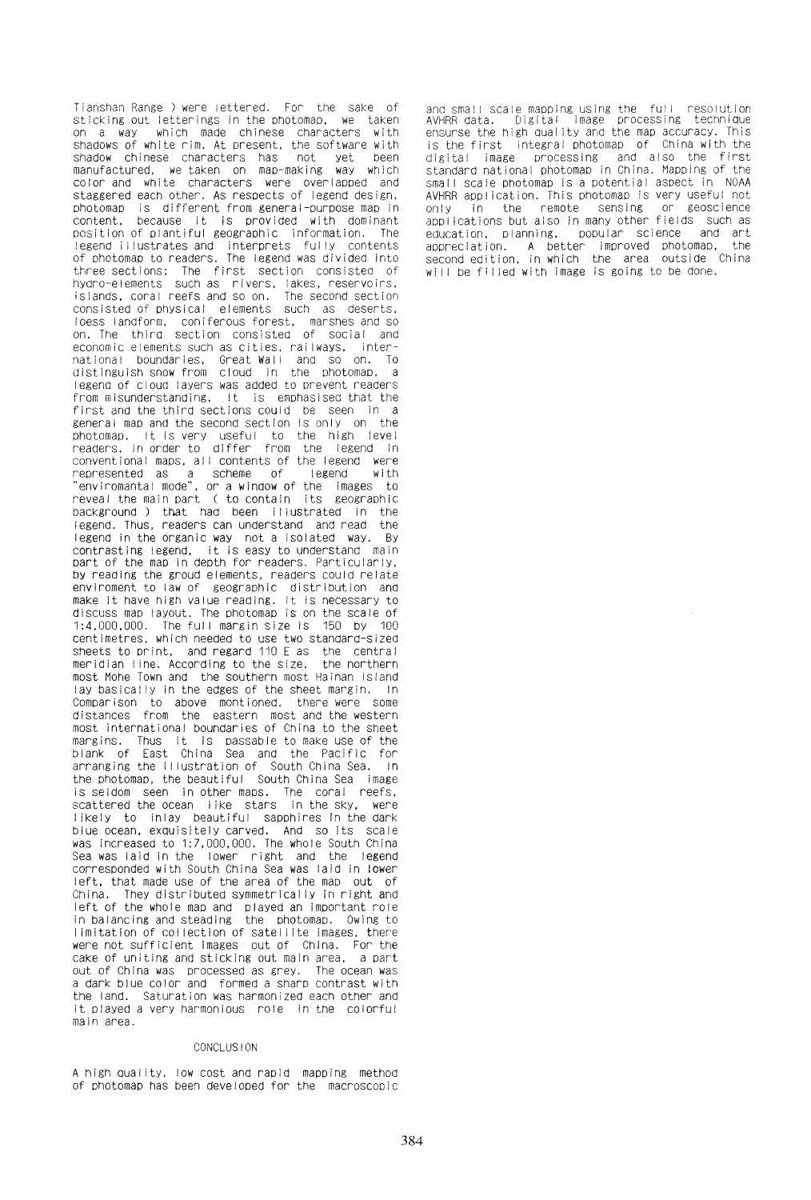Tianshan Range) were tettered. For the sake of sticking out letterings in the photomap, we taken on a way which made chinese characters with shadows of white rim. At present. the software with shadow chinese characters has not yet been manufactured, we taken on map-making way which color and white characters were overlapped and staggered each other. As respects of legend design, photomap is different from general-purpose map in content, because it is provided with dominant<br>position of plantiful geographic information. The position of plantiful geographic information. legend illustrates and interprets fully contents of photomap to readers. The legend was divided into three sections; The first section consisted of hydro-elements such as rivers, lakes, reservoirs. islands, coral reefs and so on. consisted of physical elements such as deserts. loess landform. coniferous forest, marShes and so on. The third section consisted of social and economic elements such as cities. raj Iways. international boundaries, Great-Wall and so on. T<mark>o</mark> distinguish snow from cloud in the photomap. a legend of cloud layers was added to prevent readers from misunderstanding. It is emphasised that the first and the third sections could be seen in a general map and the second section is only on the photomap. It is very useful to the high level readers. In order to differ from the legend in conventional maps, all contents of the legend were represented as a scheme of legend with "envlromantal mode", or a window of the images to reveal the main part ( to contain its geographic background) that had been illustrated in the legend. Thus, readers can understand and read the legend In the organic way not a isolated way. By contrasting legend, it is easy to understand main part of the map in depth for readers. Particularly, by reading the groud elements, readers could relate enviroment to law of geographic distribution and make it have high value reading. It Is necessary to discuss map layout. The photomap is on the scale of 1:4.000,000. The ful I margin size is 150 by 100 centimetres, which needed to use two standard-sized sheets to print, and regard 110 E as the central meridian line. According to the size, the northern meridian line. According to the size, most Mohe Town and the southern most Hainan Island lay basically in the edges of the sheet margin. In Comparison to above montioned, there were some distances from the eastern most and the western most international boundaries of China to the sheet margins. Thus it is passable to make use of the blank of East China Sea and the Pacific for arranging the illustration of South China Sea. In the photomap. the beautiful South China Sea image is seldom seen in other maps. The coral reefs. scattered the ocean like stars in the sky, were I ikely to Inlay beautiful sapphires in the dark blue ocean, exquisitely carved. And so its scale was increased to 1:7,000,000. The whole South China Sea was laid in the lower right and the legend corresponded with South China Sea was laid in tower left, that made use of the area of the map out of They distributed symmetrically in right and left of the whole map and played an Important role in balancing and steading the photomap. Owing to I imitation of collection of satellite images, there were not sufficient images out of China. For the cake of uniting and sticking out main area, a part out of China was processed as grey. The ocean was a dark blue color and formed a sharp contrast with the land. Saturation was harmonized each other and it played a very harmonious role in the colorful main area.

#### CONCLUSION

A high quality. low cost and rapid mapping method of photomap has been developed for the macroscopic

and sma!! scale mapping using the fu!l resolution<br>AVHRR data. Digital image processing technique ensurse the high quality and the map accuracy. This is the first integral photomap of China with the digital image processing and also the first standard national photomap in China. Mapping of the small scale photomap is a potential aspect in NOAA AVHRR appl ication. This photomap is very useful not only in the remote sensing or geoscience applications but also in many other fields such as<br>education, planning, popular science and art popular science and art appreclation. A better improved photomap, the second edition, in which the area outside China will be filled with image is going to be done.